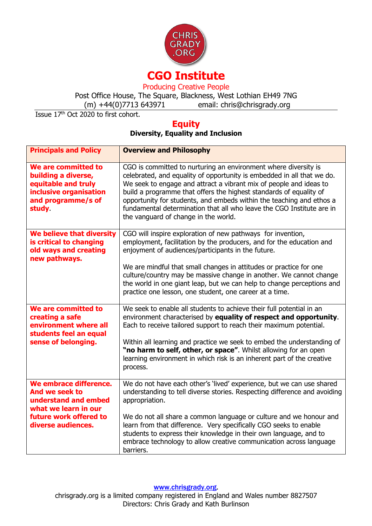

Post Office House, The Square, Blackness, West Lothian EH49 7NG

 $(m) +44(0)$ 7713 643971 email: chris@chrisgrady.org

Issue 17<sup>th</sup> Oct 2020 to first cohort.

# **Equity**

## **Diversity, Equality and Inclusion**

| <b>Principals and Policy</b>                                                                                                             | <b>Overview and Philosophy</b>                                                                                                                                                                                                                                                                                                                                                                                                                                                 |
|------------------------------------------------------------------------------------------------------------------------------------------|--------------------------------------------------------------------------------------------------------------------------------------------------------------------------------------------------------------------------------------------------------------------------------------------------------------------------------------------------------------------------------------------------------------------------------------------------------------------------------|
| We are committed to<br>building a diverse,<br>equitable and truly<br>inclusive organisation<br>and programme/s of<br>study               | CGO is committed to nurturing an environment where diversity is<br>celebrated, and equality of opportunity is embedded in all that we do.<br>We seek to engage and attract a vibrant mix of people and ideas to<br>build a programme that offers the highest standards of equality of<br>opportunity for students, and embeds within the teaching and ethos a<br>fundamental determination that all who leave the CGO Institute are in<br>the vanguard of change in the world. |
| We believe that diversity<br>is critical to changing<br>old ways and creating<br>new pathways.                                           | CGO will inspire exploration of new pathways for invention,<br>employment, facilitation by the producers, and for the education and<br>enjoyment of audiences/participants in the future.<br>We are mindful that small changes in attitudes or practice for one<br>culture/country may be massive change in another. We cannot change<br>the world in one giant leap, but we can help to change perceptions and<br>practice one lesson, one student, one career at a time.     |
| We are committed to<br>creating a safe<br>environment where all<br>students feel an equal<br>sense of belonging.                         | We seek to enable all students to achieve their full potential in an<br>environment characterised by equality of respect and opportunity.<br>Each to receive tailored support to reach their maximum potential.<br>Within all learning and practice we seek to embed the understanding of<br>"no harm to self, other, or space". Whilst allowing for an open<br>learning environment in which risk is an inherent part of the creative<br>process.                             |
| We embrace difference.<br>And we seek to<br>understand and embed<br>what we learn in our<br>future work offered to<br>diverse audiences. | We do not have each other's 'lived' experience, but we can use shared<br>understanding to tell diverse stories. Respecting difference and avoiding<br>appropriation.<br>We do not all share a common language or culture and we honour and<br>learn from that difference. Very specifically CGO seeks to enable<br>students to express their knowledge in their own language, and to<br>embrace technology to allow creative communication across language<br>barriers.        |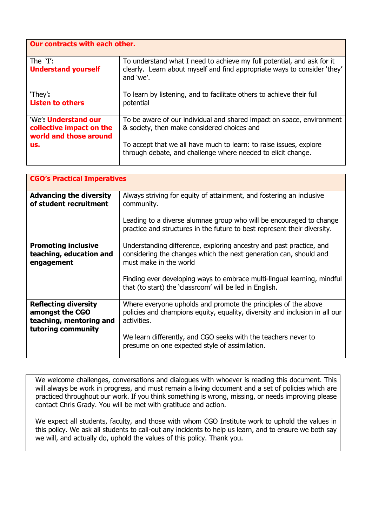| Our contracts with each other.                                                   |                                                                                                                                                                 |  |
|----------------------------------------------------------------------------------|-----------------------------------------------------------------------------------------------------------------------------------------------------------------|--|
| The $Y$ :<br><b>Understand yourself</b>                                          | To understand what I need to achieve my full potential, and ask for it<br>clearly. Learn about myself and find appropriate ways to consider 'they'<br>and 'we'. |  |
| 'They':<br><b>Listen to others</b>                                               | To learn by listening, and to facilitate others to achieve their full<br>potential                                                                              |  |
| 'We' <b>Understand our</b><br>collective impact on the<br>world and those around | To be aware of our individual and shared impact on space, environment<br>& society, then make considered choices and                                            |  |
| us.                                                                              | To accept that we all have much to learn: to raise issues, explore<br>through debate, and challenge where needed to elicit change.                              |  |

| <b>CGO's Practical Imperatives</b>                                                              |                                                                                                                                                                                                                                                                                                          |  |
|-------------------------------------------------------------------------------------------------|----------------------------------------------------------------------------------------------------------------------------------------------------------------------------------------------------------------------------------------------------------------------------------------------------------|--|
| <b>Advancing the diversity</b><br>of student recruitment                                        | Always striving for equity of attainment, and fostering an inclusive<br>community.<br>Leading to a diverse alumnae group who will be encouraged to change                                                                                                                                                |  |
|                                                                                                 | practice and structures in the future to best represent their diversity.                                                                                                                                                                                                                                 |  |
| <b>Promoting inclusive</b><br>teaching, education and<br>engagement                             | Understanding difference, exploring ancestry and past practice, and<br>considering the changes which the next generation can, should and<br>must make in the world<br>Finding ever developing ways to embrace multi-lingual learning, mindful<br>that (to start) the 'classroom' will be led in English. |  |
| <b>Reflecting diversity</b><br>amongst the CGO<br>teaching, mentoring and<br>tutoring community | Where everyone upholds and promote the principles of the above<br>policies and champions equity, equality, diversity and inclusion in all our<br>activities.<br>We learn differently, and CGO seeks with the teachers never to<br>presume on one expected style of assimilation.                         |  |

We welcome challenges, conversations and dialogues with whoever is reading this document. This will always be work in progress, and must remain a living document and a set of policies which are practiced throughout our work. If you think something is wrong, missing, or needs improving please contact Chris Grady. You will be met with gratitude and action.

We expect all students, faculty, and those with whom CGO Institute work to uphold the values in this policy. We ask all students to call-out any incidents to help us learn, and to ensure we both say we will, and actually do, uphold the values of this policy. Thank you.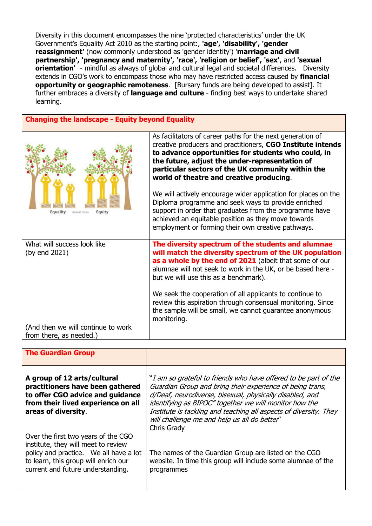Diversity in this document encompasses the nine 'protected characteristics' under the UK Government's Equality Act 2010 as the starting point:, **'age', 'disability', 'gender reassignment'** (now commonly understood as 'gender identity') '**marriage and civil partnership', 'pregnancy and maternity', 'race', 'religion or belief', 'sex'**, and **'sexual orientation'** - mindful as always of global and cultural legal and societal differences. Diversity extends in CGO's work to encompass those who may have restricted access caused by **financial opportunity or geographic remoteness**. [Bursary funds are being developed to assist]. It further embraces a diversity of **language and culture** - finding best ways to undertake shared learning.

**Changing the landscape - Equity beyond Equality**

| Equity<br>Equality<br>doesn't mean                            | As facilitators of career paths for the next generation of<br>creative producers and practitioners, CGO Institute intends<br>to advance opportunities for students who could, in<br>the future, adjust the under-representation of<br>particular sectors of the UK community within the<br>world of theatre and creative producing.<br>We will actively encourage wider application for places on the<br>Diploma programme and seek ways to provide enriched<br>support in order that graduates from the programme have<br>achieved an equitable position as they move towards<br>employment or forming their own creative pathways. |  |
|---------------------------------------------------------------|--------------------------------------------------------------------------------------------------------------------------------------------------------------------------------------------------------------------------------------------------------------------------------------------------------------------------------------------------------------------------------------------------------------------------------------------------------------------------------------------------------------------------------------------------------------------------------------------------------------------------------------|--|
| What will success look like<br>(by end 2021)                  | The diversity spectrum of the students and alumnae<br>will match the diversity spectrum of the UK population<br>as a whole by the end of 2021 (albeit that some of our<br>alumnae will not seek to work in the UK, or be based here -<br>but we will use this as a benchmark).<br>We seek the cooperation of all applicants to continue to<br>review this aspiration through consensual monitoring. Since<br>the sample will be small, we cannot guarantee anonymous<br>monitoring.                                                                                                                                                  |  |
| (And then we will continue to work<br>from there, as needed.) |                                                                                                                                                                                                                                                                                                                                                                                                                                                                                                                                                                                                                                      |  |

| <b>The Guardian Group</b>                                                                                                                                                                         |                                                                                                                                                                                                                                                                                                                                                                                        |
|---------------------------------------------------------------------------------------------------------------------------------------------------------------------------------------------------|----------------------------------------------------------------------------------------------------------------------------------------------------------------------------------------------------------------------------------------------------------------------------------------------------------------------------------------------------------------------------------------|
| A group of 12 arts/cultural<br>practitioners have been gathered<br>to offer CGO advice and guidance<br>from their lived experience on all<br>areas of diversity.                                  | "I am so grateful to friends who have offered to be part of the<br>Guardian Group and bring their experience of being trans,<br>d/Deaf, neurodiverse, bisexual, physically disabled, and<br>identifying as BIPOC" together we will monitor how the<br>Institute is tackling and teaching all aspects of diversity. They<br>will challenge me and help us all do better"<br>Chris Grady |
| Over the first two years of the CGO<br>institute, they will meet to review<br>policy and practice. We all have a lot<br>to learn, this group will enrich our<br>current and future understanding. | The names of the Guardian Group are listed on the CGO<br>website. In time this group will include some alumnae of the<br>programmes                                                                                                                                                                                                                                                    |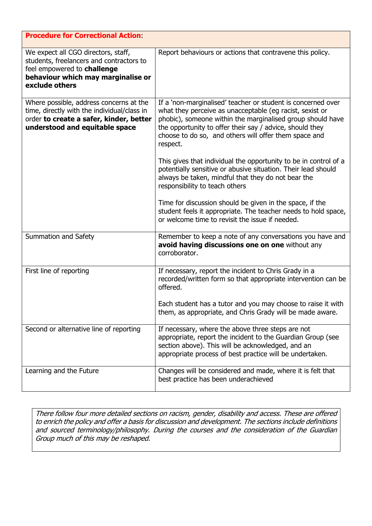| <b>Procedure for Correctional Action:</b>                                                                                                                              |                                                                                                                                                                                                                                                                                                                         |  |
|------------------------------------------------------------------------------------------------------------------------------------------------------------------------|-------------------------------------------------------------------------------------------------------------------------------------------------------------------------------------------------------------------------------------------------------------------------------------------------------------------------|--|
| We expect all CGO directors, staff,<br>students, freelancers and contractors to<br>feel empowered to challenge<br>behaviour which may marginalise or<br>exclude others | Report behaviours or actions that contravene this policy.                                                                                                                                                                                                                                                               |  |
| Where possible, address concerns at the<br>time, directly with the individual/class in<br>order to create a safer, kinder, better<br>understood and equitable space    | If a 'non-marginalised' teacher or student is concerned over<br>what they perceive as unacceptable (eg racist, sexist or<br>phobic), someone within the marginalised group should have<br>the opportunity to offer their say / advice, should they<br>choose to do so, and others will offer them space and<br>respect. |  |
|                                                                                                                                                                        | This gives that individual the opportunity to be in control of a<br>potentially sensitive or abusive situation. Their lead should<br>always be taken, mindful that they do not bear the<br>responsibility to teach others                                                                                               |  |
|                                                                                                                                                                        | Time for discussion should be given in the space, if the<br>student feels it appropriate. The teacher needs to hold space,<br>or welcome time to revisit the issue if needed.                                                                                                                                           |  |
| Summation and Safety                                                                                                                                                   | Remember to keep a note of any conversations you have and<br>avoid having discussions one on one without any<br>corroborator.                                                                                                                                                                                           |  |
| First line of reporting                                                                                                                                                | If necessary, report the incident to Chris Grady in a<br>recorded/written form so that appropriate intervention can be<br>offered.                                                                                                                                                                                      |  |
|                                                                                                                                                                        | Each student has a tutor and you may choose to raise it with<br>them, as appropriate, and Chris Grady will be made aware.                                                                                                                                                                                               |  |
| Second or alternative line of reporting                                                                                                                                | If necessary, where the above three steps are not<br>appropriate, report the incident to the Guardian Group (see<br>section above). This will be acknowledged, and an<br>appropriate process of best practice will be undertaken.                                                                                       |  |
| Learning and the Future                                                                                                                                                | Changes will be considered and made, where it is felt that<br>best practice has been underachieved                                                                                                                                                                                                                      |  |

There follow four more detailed sections on racism, gender, disability and access. These are offered to enrich the policy and offer a basis for discussion and development. The sections include definitions and sourced terminology/philosophy. During the courses and the consideration of the Guardian Group much of this may be reshaped.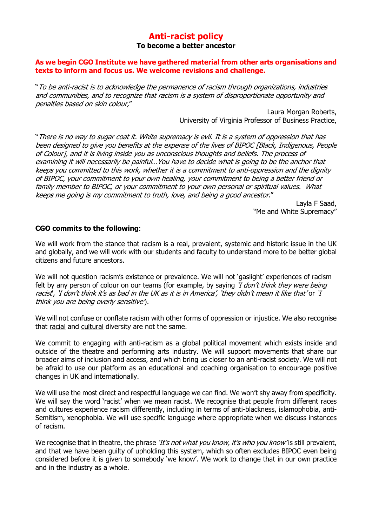## **Anti-racist policy To become a better ancestor**

#### **As we begin CGO Institute we have gathered material from other arts organisations and texts to inform and focus us. We welcome revisions and challenge.**

"To be anti-racist is to acknowledge the permanence of racism through organizations, industries and communities, and to recognize that racism is a system of disproportionate opportunity and penalties based on skin colour,"

> Laura Morgan Roberts, University of Virginia Professor of Business Practice,

"There is no way to sugar coat it. White supremacy is evil. It is a system of oppression that has been designed to give you benefits at the expense of the lives of BIPOC [Black, Indigenous, People of Colour], and it is living inside you as unconscious thoughts and beliefs. The process of examining it will necessarily be painful…You have to decide what is going to be the anchor that keeps you committed to this work, whether it is a commitment to anti-oppression and the dignity of BIPOC, your commitment to your own healing, your commitment to being a better friend or family member to BIPOC, or your commitment to your own personal or spiritual values. What keeps me going is my commitment to truth, love, and being a good ancestor."

Layla F Saad, "Me and White Supremacy"

#### **CGO commits to the following**:

We will work from the stance that racism is a real, prevalent, systemic and historic issue in the UK and globally, and we will work with our students and faculty to understand more to be better global citizens and future ancestors.

We will not question racism's existence or prevalence. We will not 'qaslight' experiences of racism felt by any person of colour on our teams (for example, by saying '*I don't think they were being* racist', 'I don't think it's as bad in the UK as it is in America', 'they didn't mean it like that' or 'I think you are being overly sensitive').

We will not confuse or conflate racism with other forms of oppression or injustice. We also recognise that racial and cultural diversity are not the same.

We commit to engaging with anti-racism as a global political movement which exists inside and outside of the theatre and performing arts industry. We will support movements that share our broader aims of inclusion and access, and which bring us closer to an anti-racist society. We will not be afraid to use our platform as an educational and coaching organisation to encourage positive changes in UK and internationally.

We will use the most direct and respectful language we can find. We won't shy away from specificity. We will say the word 'racist' when we mean racist. We recognise that people from different races and cultures experience racism differently, including in terms of anti-blackness, islamophobia, anti-Semitism, xenophobia. We will use specific language where appropriate when we discuss instances of racism.

We recognise that in theatre, the phrase 'It's not what you know, it's who you know' is still prevalent, and that we have been guilty of upholding this system, which so often excludes BIPOC even being considered before it is given to somebody 'we know'. We work to change that in our own practice and in the industry as a whole.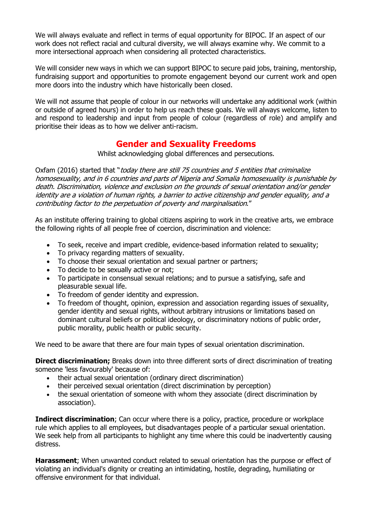We will always evaluate and reflect in terms of equal opportunity for BIPOC. If an aspect of our work does not reflect racial and cultural diversity, we will always examine why. We commit to a more intersectional approach when considering all protected characteristics.

We will consider new ways in which we can support BIPOC to secure paid jobs, training, mentorship, fundraising support and opportunities to promote engagement beyond our current work and open more doors into the industry which have historically been closed.

We will not assume that people of colour in our networks will undertake any additional work (within or outside of agreed hours) in order to help us reach these goals. We will always welcome, listen to and respond to leadership and input from people of colour (regardless of role) and amplify and prioritise their ideas as to how we deliver anti-racism.

# **Gender and Sexuality Freedoms**

Whilst acknowledging global differences and persecutions.

Oxfam (2016) started that "today there are still 75 countries and 5 entities that criminalize homosexuality, and in 6 countries and parts of Nigeria and Somalia homosexuality is punishable by death. Discrimination, violence and exclusion on the grounds of sexual orientation and/or gender identity are a violation of human rights, a barrier to active citizenship and gender equality, and a contributing factor to the perpetuation of poverty and marginalisation."

As an institute offering training to global citizens aspiring to work in the creative arts, we embrace the following rights of all people free of coercion, discrimination and violence:

- To seek, receive and impart credible, evidence-based information related to sexuality;
- To privacy regarding matters of sexuality.
- To choose their sexual orientation and sexual partner or partners;
- To decide to be sexually active or not;
- To participate in consensual sexual relations; and to pursue a satisfying, safe and pleasurable sexual life.
- To freedom of gender identity and expression.
- To freedom of thought, opinion, expression and association regarding issues of sexuality, gender identity and sexual rights, without arbitrary intrusions or limitations based on dominant cultural beliefs or political ideology, or discriminatory notions of public order, public morality, public health or public security.

We need to be aware that there are four main types of sexual orientation discrimination.

**Direct discrimination;** Breaks down into three different sorts of direct discrimination of treating someone 'less favourably' because of:

- their actual sexual orientation (ordinary direct discrimination)
- their perceived sexual orientation (direct discrimination by perception)
- the sexual orientation of someone with whom they associate (direct discrimination by association).

**Indirect discrimination**; Can occur where there is a policy, practice, procedure or workplace rule which applies to all employees, but disadvantages people of a particular sexual orientation. We seek help from all participants to highlight any time where this could be inadvertently causing distress.

**Harassment**; When unwanted conduct related to sexual orientation has the purpose or effect of violating an individual's dignity or creating an intimidating, hostile, degrading, humiliating or offensive environment for that individual.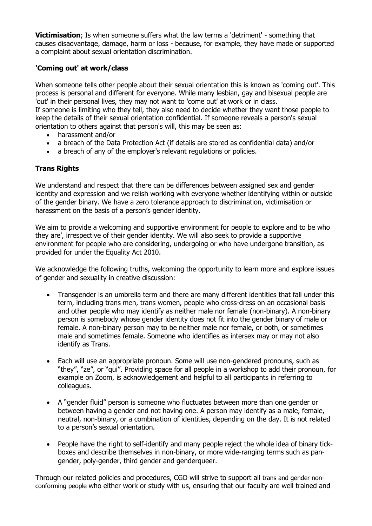**Victimisation**; Is when someone suffers what the law terms a 'detriment' - something that causes disadvantage, damage, harm or loss - because, for example, they have made or supported a complaint about sexual orientation discrimination.

#### **'Coming out' at work/class**

When someone tells other people about their sexual orientation this is known as 'coming out'. This process is personal and different for everyone. While many lesbian, gay and bisexual people are 'out' in their personal lives, they may not want to 'come out' at work or in class. If someone is limiting who they tell, they also need to decide whether they want those people to keep the details of their sexual orientation confidential. If someone reveals a person's sexual orientation to others against that person's will, this may be seen as:

- harassment and/or
- a breach of the Data Protection Act (if details are stored as confidential data) and/or
- a breach of any of the employer's relevant regulations or policies.

### **Trans Rights**

We understand and respect that there can be differences between assigned sex and gender identity and expression and we relish working with everyone whether identifying within or outside of the gender binary. We have a zero tolerance approach to discrimination, victimisation or harassment on the basis of a person's gender identity.

We aim to provide a welcoming and supportive environment for people to explore and to be who they are', irrespective of their gender identity. We will also seek to provide a supportive environment for people who are considering, undergoing or who have undergone transition, as provided for under the Equality Act 2010.

We acknowledge the following truths, welcoming the opportunity to learn more and explore issues of gender and sexuality in creative discussion:

- Transgender is an umbrella term and there are many different identities that fall under this term, including trans men, trans women, people who cross-dress on an occasional basis and other people who may identify as neither male nor female (non-binary). A non-binary person is somebody whose gender identity does not fit into the gender binary of male or female. A non-binary person may to be neither male nor female, or both, or sometimes male and sometimes female. Someone who identifies as intersex may or may not also identify as Trans.
- Each will use an appropriate pronoun. Some will use non-gendered pronouns, such as "they", "ze", or "qui". Providing space for all people in a workshop to add their pronoun, for example on Zoom, is acknowledgement and helpful to all participants in referring to colleagues.
- A "gender fluid" person is someone who fluctuates between more than one gender or between having a gender and not having one. A person may identify as a male, female, neutral, non-binary, or a combination of identities, depending on the day. It is not related to a person's sexual orientation.
- People have the right to self-identify and many people reject the whole idea of binary tickboxes and describe themselves in non-binary, or more wide-ranging terms such as pangender, poly-gender, third gender and genderqueer.

Through our related policies and procedures, CGO will strive to support all trans and gender nonconforming people who either work or study with us, ensuring that our faculty are well trained and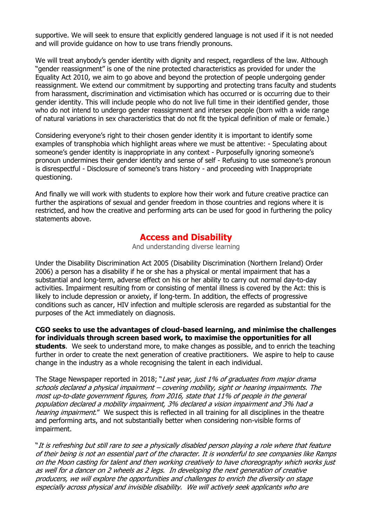supportive. We will seek to ensure that explicitly gendered language is not used if it is not needed and will provide guidance on how to use trans friendly pronouns.

We will treat anybody's gender identity with dignity and respect, regardless of the law. Although "gender reassignment" is one of the nine protected characteristics as provided for under the Equality Act 2010, we aim to go above and beyond the protection of people undergoing gender reassignment. We extend our commitment by supporting and protecting trans faculty and students from harassment, discrimination and victimisation which has occurred or is occurring due to their gender identity. This will include people who do not live full time in their identified gender, those who do not intend to undergo gender reassignment and intersex people (born with a wide range of natural variations in sex characteristics that do not fit the typical definition of male or female.)

Considering everyone's right to their chosen gender identity it is important to identify some examples of transphobia which highlight areas where we must be attentive: - Speculating about someone's gender identity is inappropriate in any context - Purposefully ignoring someone's pronoun undermines their gender identity and sense of self - Refusing to use someone's pronoun is disrespectful - Disclosure of someone's trans history - and proceeding with Inappropriate questioning.

And finally we will work with students to explore how their work and future creative practice can further the aspirations of sexual and gender freedom in those countries and regions where it is restricted, and how the creative and performing arts can be used for good in furthering the policy statements above.

# **Access and Disability**

And understanding diverse learning

Under the Disability Discrimination Act 2005 (Disability Discrimination (Northern Ireland) Order 2006) a person has a disability if he or she has a physical or mental impairment that has a substantial and long-term, adverse effect on his or her ability to carry out normal day-to-day activities. Impairment resulting from or consisting of mental illness is covered by the Act: this is likely to include depression or anxiety, if long-term. In addition, the effects of progressive conditions such as cancer, HIV infection and multiple sclerosis are regarded as substantial for the purposes of the Act immediately on diagnosis.

**CGO seeks to use the advantages of cloud-based learning, and minimise the challenges for individuals through screen based work, to maximise the opportunities for all students**. We seek to understand more, to make changes as possible, and to enrich the teaching further in order to create the next generation of creative practitioners. We aspire to help to cause change in the industry as a whole recognising the talent in each individual.

The Stage Newspaper reported in 2018; "Last year, just 1% of graduates from major drama schools declared a physical impairment – covering mobility, sight or hearing impairments. The most up-to-date government figures, from 2016, state that 11% of people in the general population declared a mobility impairment, 3% declared a vision impairment and 3% had a hearing impairment." We suspect this is reflected in all training for all disciplines in the theatre and performing arts, and not substantially better when considering non-visible forms of impairment.

"It is refreshing but still rare to see a physically disabled person playing a role where that feature of their being is not an essential part of the character. It is wonderful to see companies like Ramps on the Moon casting for talent and then working creatively to have choreography which works just as well for a dancer on 2 wheels as 2 legs. In developing the next generation of creative producers, we will explore the opportunities and challenges to enrich the diversity on stage especially across physical and invisible disability. We will actively seek applicants who are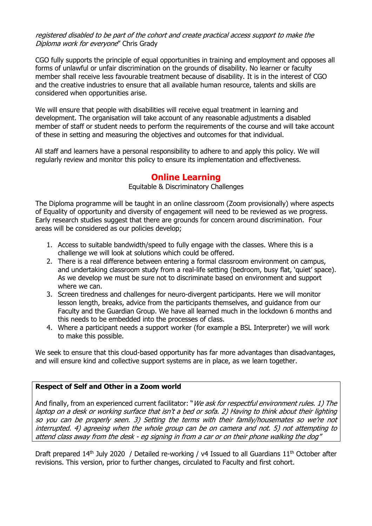#### registered disabled to be part of the cohort and create practical access support to make the Diploma work for evervone" Chris Grady

CGO fully supports the principle of equal opportunities in training and employment and opposes all forms of unlawful or unfair discrimination on the grounds of disability. No learner or faculty member shall receive less favourable treatment because of disability. It is in the interest of CGO and the creative industries to ensure that all available human resource, talents and skills are considered when opportunities arise.

We will ensure that people with disabilities will receive equal treatment in learning and development. The organisation will take account of any reasonable adjustments a disabled member of staff or student needs to perform the requirements of the course and will take account of these in setting and measuring the objectives and outcomes for that individual.

All staff and learners have a personal responsibility to adhere to and apply this policy. We will regularly review and monitor this policy to ensure its implementation and effectiveness.

## **Online Learning**

Equitable & Discriminatory Challenges

The Diploma programme will be taught in an online classroom (Zoom provisionally) where aspects of Equality of opportunity and diversity of engagement will need to be reviewed as we progress. Early research studies suggest that there are grounds for concern around discrimination. Four areas will be considered as our policies develop;

- 1. Access to suitable bandwidth/speed to fully engage with the classes. Where this is a challenge we will look at solutions which could be offered.
- 2. There is a real difference between entering a formal classroom environment on campus, and undertaking classroom study from a real-life setting (bedroom, busy flat, 'quiet' space). As we develop we must be sure not to discriminate based on environment and support where we can.
- 3. Screen tiredness and challenges for neuro-divergent participants. Here we will monitor lesson length, breaks, advice from the participants themselves, and guidance from our Faculty and the Guardian Group. We have all learned much in the lockdown 6 months and this needs to be embedded into the processes of class.
- 4. Where a participant needs a support worker (for example a BSL Interpreter) we will work to make this possible.

We seek to ensure that this cloud-based opportunity has far more advantages than disadvantages, and will ensure kind and collective support systems are in place, as we learn together.

#### **Respect of Self and Other in a Zoom world**

And finally, from an experienced current facilitator: "We ask for respectful environment rules. 1) The laptop on a desk or working surface that isn't a bed or sofa. 2) Having to think about their lighting so you can be properly seen. 3) Setting the terms with their family/housemates so we're not interrupted. 4) agreeing when the whole group can be on camera and not. 5) not attempting to attend class away from the desk - eg signing in from a car or on their phone walking the dog"

Draft prepared  $14<sup>th</sup>$  July 2020 / Detailed re-working / v4 Issued to all Guardians  $11<sup>th</sup>$  October after revisions. This version, prior to further changes, circulated to Faculty and first cohort.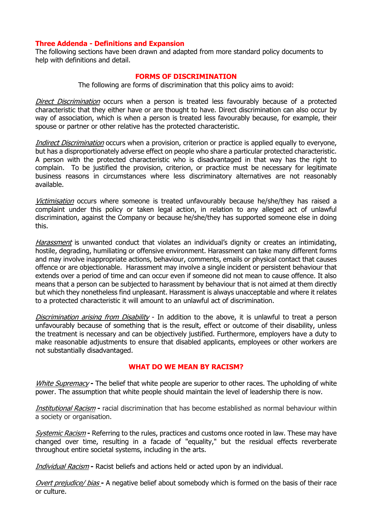#### **Three Addenda - Definitions and Expansion**

The following sections have been drawn and adapted from more standard policy documents to help with definitions and detail.

#### **FORMS OF DISCRIMINATION**

The following are forms of discrimination that this policy aims to avoid:

Direct Discrimination occurs when a person is treated less favourably because of a protected characteristic that they either have or are thought to have. Direct discrimination can also occur by way of association, which is when a person is treated less favourably because, for example, their spouse or partner or other relative has the protected characteristic.

Indirect Discrimination occurs when a provision, criterion or practice is applied equally to everyone, but has a disproportionately adverse effect on people who share a particular protected characteristic. A person with the protected characteristic who is disadvantaged in that way has the right to complain. To be justified the provision, criterion, or practice must be necessary for legitimate business reasons in circumstances where less discriminatory alternatives are not reasonably available.

Victimisation occurs where someone is treated unfavourably because he/she/they has raised a complaint under this policy or taken legal action, in relation to any alleged act of unlawful discrimination, against the Company or because he/she/they has supported someone else in doing this.

Harassment is unwanted conduct that violates an individual's dignity or creates an intimidating, hostile, degrading, humiliating or offensive environment. Harassment can take many different forms and may involve inappropriate actions, behaviour, comments, emails or physical contact that causes offence or are objectionable. Harassment may involve a single incident or persistent behaviour that extends over a period of time and can occur even if someone did not mean to cause offence. It also means that a person can be subjected to harassment by behaviour that is not aimed at them directly but which they nonetheless find unpleasant. Harassment is always unacceptable and where it relates to a protected characteristic it will amount to an unlawful act of discrimination.

Discrimination arising from Disability - In addition to the above, it is unlawful to treat a person unfavourably because of something that is the result, effect or outcome of their disability, unless the treatment is necessary and can be objectively justified. Furthermore, employers have a duty to make reasonable adjustments to ensure that disabled applicants, employees or other workers are not substantially disadvantaged.

#### **WHAT DO WE MEAN BY RACISM?**

White Supremacy **-** The belief that white people are superior to other races. The upholding of white power. The assumption that white people should maintain the level of leadership there is now.

Institutional Racism **-** racial discrimination that has become established as normal behaviour within a society or organisation.

Systemic Racism **-** Referring to the rules, practices and customs once rooted in law. These may have changed over time, resulting in a facade of "equality," but the residual effects reverberate throughout entire societal systems, including in the arts.

Individual Racism **-** Racist beliefs and actions held or acted upon by an individual.

Overt prejudice/ bias **-** A negative belief about somebody which is formed on the basis of their race or culture.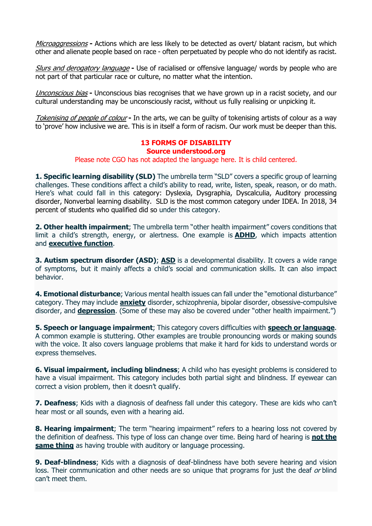Microaggressions **-** Actions which are less likely to be detected as overt/ blatant racism, but which other and alienate people based on race - often perpetuated by people who do not identify as racist.

Slurs and derogatory language **-** Use of racialised or offensive language/ words by people who are not part of that particular race or culture, no matter what the intention.

Unconscious bias **-** Unconscious bias recognises that we have grown up in a racist society, and our cultural understanding may be unconsciously racist, without us fully realising or unpicking it.

Tokenising of people of colour **-** In the arts, we can be guilty of tokenising artists of colour as a way to 'prove' how inclusive we are. This is in itself a form of racism. Our work must be deeper than this.

# **13 FORMS OF DISABILITY**

## **Source understood.org**

Please note CGO has not adapted the language here. It is child centered.

**1. Specific learning disability (SLD)** The umbrella term "SLD" covers a specific group of learning challenges. These conditions affect a child's ability to read, write, listen, speak, reason, or do math. Here's what could fall in this category: Dyslexia, Dysgraphia, Dyscalculia, Auditory processing disorder, Nonverbal learning disability. SLD is the most common category under IDEA. In 2018, 34 percent of students who qualified did so under this category.

**2. Other health impairment**; The umbrella term "other health impairment" covers conditions that limit a child's strength, energy, or alertness. One example is **ADHD**, which impacts attention and **executive function**.

**3. Autism spectrum disorder (ASD); ASD** is a developmental disability. It covers a wide range of symptoms, but it mainly affects a child's social and communication skills. It can also impact behavior.

**4. Emotional disturbance**; Various mental health issues can fall under the "emotional disturbance" category. They may include **anxiety** disorder, schizophrenia, bipolar disorder, obsessive-compulsive disorder, and **depression**. (Some of these may also be covered under "other health impairment.")

**5. Speech or language impairment**; This category covers difficulties with **speech or language**. A common example is stuttering. Other examples are trouble pronouncing words or making sounds with the voice. It also covers language problems that make it hard for kids to understand words or express themselves.

**6. Visual impairment, including blindness**; A child who has eyesight problems is considered to have a visual impairment. This category includes both partial sight and blindness. If eyewear can correct a vision problem, then it doesn't qualify.

**7. Deafness**; Kids with a diagnosis of deafness fall under this category. These are kids who can't hear most or all sounds, even with a hearing aid.

**8. Hearing impairment**; The term "hearing impairment" refers to a hearing loss not covered by the definition of deafness. This type of loss can change over time. Being hard of hearing is **not the same thing** as having trouble with auditory or language processing.

**9. Deaf-blindness**; Kids with a diagnosis of deaf-blindness have both severe hearing and vision loss. Their communication and other needs are so unique that programs for just the deaf or blind can't meet them.